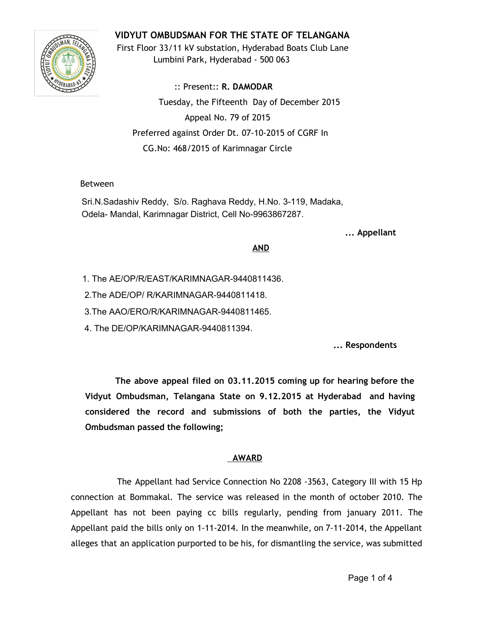# **VIDYUT OMBUDSMAN FOR THE STATE OF TELANGANA**



First Floor 33/11 kV substation, Hyderabad Boats Club Lane Lumbini Park, Hyderabad - 500 063

:: Present:: **R. DAMODAR** Tuesday, the Fifteenth Day of December 2015 Appeal No. 79 of 2015 Preferred against Order Dt. 07-10-2015 of CGRF In CG.No: 468/2015 of Karimnagar Circle

### Between

Sri.N.Sadashiv Reddy, S/o. Raghava Reddy, H.No. 3-119, Madaka, Odela- Mandal, Karimnagar District, Cell No-9963867287.

**... Appellant**

#### **AND**

1. The AE/OP/R/EAST/KARIMNAGAR-9440811436.

2. The ADE/OP/ R/KARIMNAGAR-9440811418.

3.The AAO/ERO/R/KARIMNAGAR-9440811465.

4. The DE/OP/KARIMNAGAR-9440811394.

**... Respondents**

**The above appeal filed on 03.11.2015 coming up for hearing before the Vidyut Ombudsman, Telangana State on 9.12.2015 at Hyderabad and having considered the record and submissions of both the parties, the Vidyut Ombudsman passed the following;**

## **AWARD**

The Appellant had Service Connection No 2208 -3563, Category III with 15 Hp connection at Bommakal. The service was released in the month of october 2010. The Appellant has not been paying cc bills regularly, pending from january 2011. The Appellant paid the bills only on 1-11-2014. In the meanwhile, on 7-11-2014, the Appellant alleges that an application purported to be his, for dismantling the service, was submitted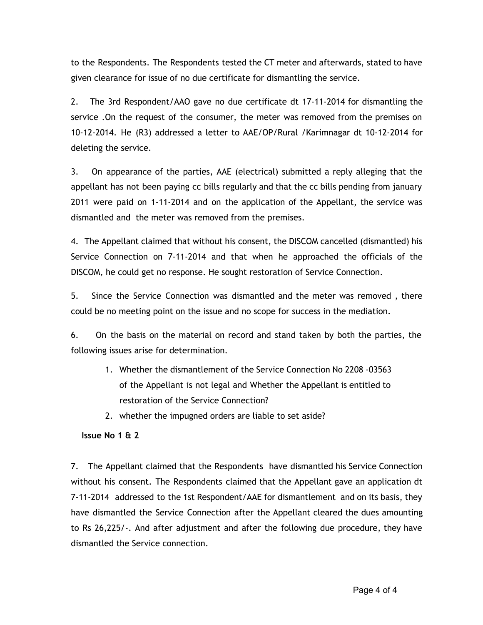to the Respondents. The Respondents tested the CT meter and afterwards, stated to have given clearance for issue of no due certificate for dismantling the service.

2. The 3rd Respondent/AAO gave no due certificate dt 17-11-2014 for dismantling the service .On the request of the consumer, the meter was removed from the premises on 10-12-2014. He (R3) addressed a letter to AAE/OP/Rural /Karimnagar dt 10-12-2014 for deleting the service.

3. On appearance of the parties, AAE (electrical) submitted a reply alleging that the appellant has not been paying cc bills regularly and that the cc bills pending from january 2011 were paid on 1-11-2014 and on the application of the Appellant, the service was dismantled and the meter was removed from the premises.

4. The Appellant claimed that without his consent, the DISCOM cancelled (dismantled) his Service Connection on 7-11-2014 and that when he approached the officials of the DISCOM, he could get no response. He sought restoration of Service Connection.

5. Since the Service Connection was dismantled and the meter was removed , there could be no meeting point on the issue and no scope for success in the mediation.

6. On the basis on the material on record and stand taken by both the parties, the following issues arise for determination.

- 1. Whether the dismantlement of the Service Connection No 2208 -03563 of the Appellant is not legal and Whether the Appellant is entitled to restoration of the Service Connection?
- 2. whether the impugned orders are liable to set aside?

### **Issue No 1 & 2**

7. The Appellant claimed that the Respondents have dismantled his Service Connection without his consent. The Respondents claimed that the Appellant gave an application dt 7-11-2014 addressed to the 1st Respondent/AAE for dismantlement and on its basis, they have dismantled the Service Connection after the Appellant cleared the dues amounting to Rs 26,225/-. And after adjustment and after the following due procedure, they have dismantled the Service connection.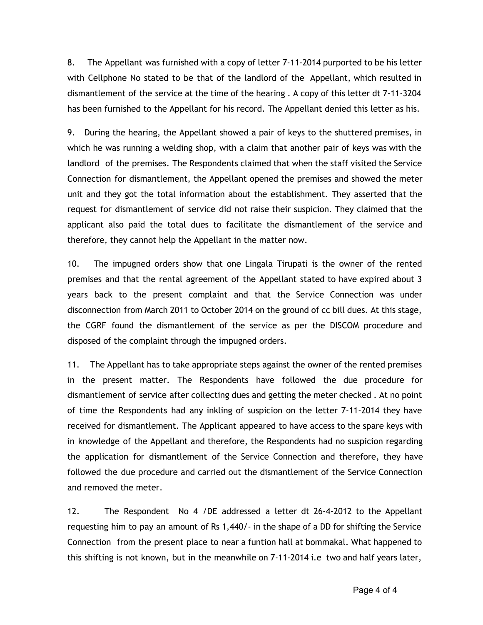8. The Appellant was furnished with a copy of letter 7-11-2014 purported to be his letter with Cellphone No stated to be that of the landlord of the Appellant, which resulted in dismantlement of the service at the time of the hearing . A copy of this letter dt 7-11-3204 has been furnished to the Appellant for his record. The Appellant denied this letter as his.

9. During the hearing, the Appellant showed a pair of keys to the shuttered premises, in which he was running a welding shop, with a claim that another pair of keys was with the landlord of the premises. The Respondents claimed that when the staff visited the Service Connection for dismantlement, the Appellant opened the premises and showed the meter unit and they got the total information about the establishment. They asserted that the request for dismantlement of service did not raise their suspicion. They claimed that the applicant also paid the total dues to facilitate the dismantlement of the service and therefore, they cannot help the Appellant in the matter now.

10. The impugned orders show that one Lingala Tirupati is the owner of the rented premises and that the rental agreement of the Appellant stated to have expired about 3 years back to the present complaint and that the Service Connection was under disconnection from March 2011 to October 2014 on the ground of cc bill dues. At this stage, the CGRF found the dismantlement of the service as per the DISCOM procedure and disposed of the complaint through the impugned orders.

11. The Appellant has to take appropriate steps against the owner of the rented premises in the present matter. The Respondents have followed the due procedure for dismantlement of service after collecting dues and getting the meter checked . At no point of time the Respondents had any inkling of suspicion on the letter 7-11-2014 they have received for dismantlement. The Applicant appeared to have access to the spare keys with in knowledge of the Appellant and therefore, the Respondents had no suspicion regarding the application for dismantlement of the Service Connection and therefore, they have followed the due procedure and carried out the dismantlement of the Service Connection and removed the meter.

12. The Respondent No 4 /DE addressed a letter dt 26-4-2012 to the Appellant requesting him to pay an amount of Rs 1,440/- in the shape of a DD for shifting the Service Connection from the present place to near a funtion hall at bommakal. What happened to this shifting is not known, but in the meanwhile on 7-11-2014 i.e two and half years later,